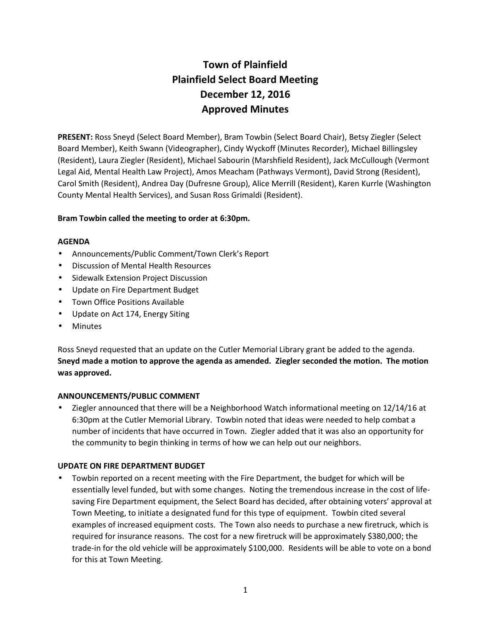# **Town of Plainfield Plainfield Select Board Meeting December 12, 2016 Approved Minutes**

**PRESENT:** Ross Sneyd (Select Board Member), Bram Towbin (Select Board Chair), Betsy Ziegler (Select Board Member), Keith Swann (Videographer), Cindy Wyckoff (Minutes Recorder), Michael Billingsley (Resident), Laura Ziegler (Resident), Michael Sabourin (Marshfield Resident), Jack McCullough (Vermont Legal Aid, Mental Health Law Project), Amos Meacham (Pathways Vermont), David Strong (Resident), Carol Smith (Resident), Andrea Day (Dufresne Group), Alice Merrill (Resident), Karen Kurrle (Washington County Mental Health Services), and Susan Ross Grimaldi (Resident).

## **Bram Towbin called the meeting to order at 6:30pm.**

## **AGENDA**

- Announcements/Public Comment/Town Clerk's Report
- Discussion of Mental Health Resources
- **•** Sidewalk Extension Project Discussion
- Update on Fire Department Budget
- Town Office Positions Available
- Update on Act 174, Energy Siting
- Minutes

Ross Sneyd requested that an update on the Cutler Memorial Library grant be added to the agenda. **Sneyd made a motion to approve the agenda as amended. Ziegler seconded the motion. The motion was approved.**

# **ANNOUNCEMENTS/PUBLIC COMMENT**

 Ziegler announced that there will be a Neighborhood Watch informational meeting on 12/14/16 at 6:30pm at the Cutler Memorial Library. Towbin noted that ideas were needed to help combat a number of incidents that have occurred in Town. Ziegler added that it was also an opportunity for the community to begin thinking in terms of how we can help out our neighbors.

# **UPDATE ON FIRE DEPARTMENT BUDGET**

 Towbin reported on a recent meeting with the Fire Department, the budget for which will be essentially level funded, but with some changes. Noting the tremendous increase in the cost of life saving Fire Department equipment, the Select Board has decided, after obtaining voters' approval at Town Meeting, to initiate a designated fund for this type of equipment. Towbin cited several examples of increased equipment costs. The Town also needs to purchase a new firetruck, which is required for insurance reasons. The cost for a new firetruck will be approximately \$380,000; the trade-in for the old vehicle will be approximately \$100,000. Residents will be able to vote on a bond for this at Town Meeting.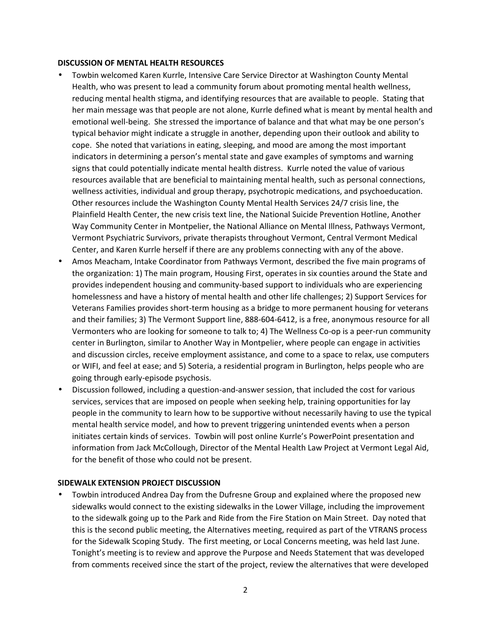#### **DISCUSSION OF MENTAL HEALTH RESOURCES**

- Towbin welcomed Karen Kurrle, Intensive Care Service Director at Washington County Mental Health, who was present to lead a community forum about promoting mental health wellness, reducing mental health stigma, and identifying resources that are available to people. Stating that her main message was that people are not alone, Kurrle defined what is meant by mental health and emotional well-being. She stressed the importance of balance and that what may be one person's typical behavior might indicate a struggle in another, depending upon their outlook and ability to cope. She noted that variations in eating, sleeping, and mood are among the most important indicators in determining a person's mental state and gave examples of symptoms and warning signs that could potentially indicate mental health distress. Kurrle noted the value of various resources available that are beneficial to maintaining mental health, such as personal connections, wellness activities, individual and group therapy, psychotropic medications, and psychoeducation. Other resources include the Washington County Mental Health Services 24/7 crisis line, the Plainfield Health Center, the new crisis text line, the National Suicide Prevention Hotline, Another Way Community Center in Montpelier, the National Alliance on Mental Illness, Pathways Vermont, Vermont Psychiatric Survivors, private therapists throughout Vermont, Central Vermont Medical Center, and Karen Kurrle herself if there are any problems connecting with any of the above.
- Amos Meacham, Intake Coordinator from Pathways Vermont, described the five main programs of the organization: 1) The main program, Housing First, operates in six counties around the State and provides independent housing and community-based support to individuals who are experiencing homelessness and have a history of mental health and other life challenges; 2) Support Services for Veterans Families provides short-term housing as a bridge to more permanent housing for veterans and their families; 3) The Vermont Support line, 888-604-6412, is a free, anonymous resource for all Vermonters who are looking for someone to talk to; 4) The Wellness Co-op is a peer-run community center in Burlington, similar to Another Way in Montpelier, where people can engage in activities and discussion circles, receive employment assistance, and come to a space to relax, use computers or WIFI, and feel at ease; and 5) Soteria, a residential program in Burlington, helps people who are going through early-episode psychosis.
- Discussion followed, including a question-and-answer session, that included the cost for various services, services that are imposed on people when seeking help, training opportunities for lay people in the community to learn how to be supportive without necessarily having to use the typical mental health service model, and how to prevent triggering unintended events when a person initiates certain kinds of services. Towbin will post online Kurrle's PowerPoint presentation and information from Jack McCollough, Director of the Mental Health Law Project at Vermont Legal Aid, for the benefit of those who could not be present.

## **SIDEWALK EXTENSION PROJECT DISCUSSION**

 Towbin introduced Andrea Day from the Dufresne Group and explained where the proposed new sidewalks would connect to the existing sidewalks in the Lower Village, including the improvement to the sidewalk going up to the Park and Ride from the Fire Station on Main Street. Day noted that this is the second public meeting, the Alternatives meeting, required as part of the VTRANS process for the Sidewalk Scoping Study. The first meeting, or Local Concerns meeting, was held last June. Tonight's meeting is to review and approve the Purpose and Needs Statement that was developed from comments received since the start of the project, review the alternatives that were developed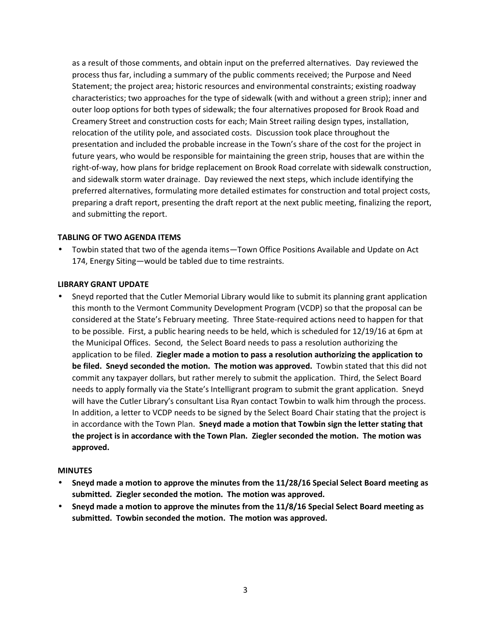as a result of those comments, and obtain input on the preferred alternatives. Day reviewed the process thus far, including a summary of the public comments received; the Purpose and Need Statement; the project area; historic resources and environmental constraints; existing roadway characteristics; two approaches for the type of sidewalk (with and without a green strip); inner and outer loop options for both types of sidewalk; the four alternatives proposed for Brook Road and Creamery Street and construction costs for each; Main Street railing design types, installation, relocation of the utility pole, and associated costs. Discussion took place throughout the presentation and included the probable increase in the Town's share of the cost for the project in future years, who would be responsible for maintaining the green strip, houses that are within the right-of-way, how plans for bridge replacement on Brook Road correlate with sidewalk construction, and sidewalk storm water drainage. Day reviewed the next steps, which include identifying the preferred alternatives, formulating more detailed estimates for construction and total project costs, preparing a draft report, presenting the draft report at the next public meeting, finalizing the report, and submitting the report.

## **TABLING OF TWO AGENDA ITEMS**

 Towbin stated that two of the agenda items—Town Office Positions Available and Update on Act 174, Energy Siting—would be tabled due to time restraints.

#### **LIBRARY GRANT UPDATE**

 Sneyd reported that the Cutler Memorial Library would like to submit its planning grant application this month to the Vermont Community Development Program (VCDP) so that the proposal can be considered at the State's February meeting. Three State-required actions need to happen for that to be possible. First, a public hearing needs to be held, which is scheduled for 12/19/16 at 6pm at the Municipal Offices. Second, the Select Board needs to pass a resolution authorizing the application to be filed. **Ziegler made a motion to pass a resolution authorizing the application to be filed. Sneyd seconded the motion. The motion was approved.** Towbin stated that this did not commit any taxpayer dollars, but rather merely to submit the application. Third, the Select Board needs to apply formally via the State's Intelligrant program to submit the grant application. Sneyd will have the Cutler Library's consultant Lisa Ryan contact Towbin to walk him through the process. In addition, a letter to VCDP needs to be signed by the Select Board Chair stating that the project is in accordance with the Town Plan. **Sneyd made a motion that Towbin sign the letter stating that the project is in accordance with the Town Plan. Ziegler seconded the motion. The motion was approved.**

#### **MINUTES**

- **Sneyd made a motion to approve the minutes from the 11/28/16 Special Select Board meeting as submitted. Ziegler seconded the motion. The motion was approved.**
- **Sneyd made a motion to approve the minutes from the 11/8/16 Special Select Board meeting as submitted. Towbin seconded the motion. The motion was approved.**